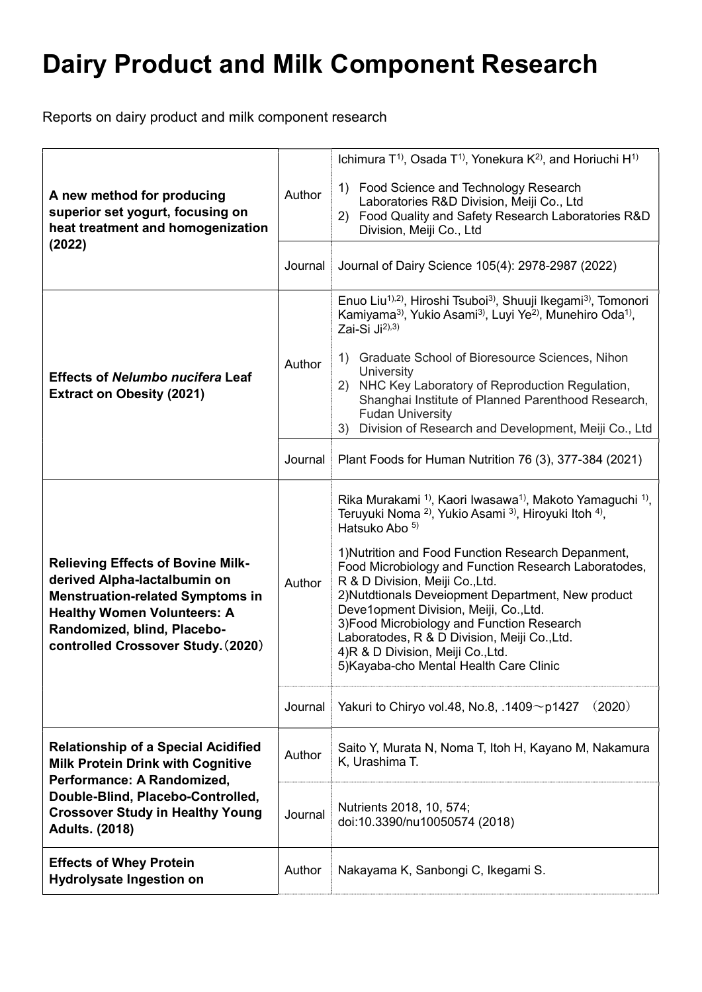Reports on dairy product and milk component research

| A new method for producing<br>superior set yogurt, focusing on<br>heat treatment and homogenization<br>(2022)                                                                                                                  | Author<br>Journal | Ichimura $T^{1}$ , Osada $T^{1}$ , Yonekura $K^{2}$ , and Horiuchi H <sup>1)</sup><br>1) Food Science and Technology Research<br>Laboratories R&D Division, Meiji Co., Ltd<br>2) Food Quality and Safety Research Laboratories R&D<br>Division, Meiji Co., Ltd<br>Journal of Dairy Science 105(4): 2978-2987 (2022)                                                                                                                                                                                                                                                                                                                     |
|--------------------------------------------------------------------------------------------------------------------------------------------------------------------------------------------------------------------------------|-------------------|-----------------------------------------------------------------------------------------------------------------------------------------------------------------------------------------------------------------------------------------------------------------------------------------------------------------------------------------------------------------------------------------------------------------------------------------------------------------------------------------------------------------------------------------------------------------------------------------------------------------------------------------|
| <b>Effects of Nelumbo nucifera Leaf</b><br><b>Extract on Obesity (2021)</b>                                                                                                                                                    | Author            | Enuo Liu <sup>1),2)</sup> , Hiroshi Tsuboi <sup>3</sup> , Shuuji Ikegami <sup>3</sup> , Tomonori<br>Kamiyama <sup>3)</sup> , Yukio Asami <sup>3)</sup> , Luyi Ye <sup>2)</sup> , Munehiro Oda <sup>1)</sup> ,<br>Zai-Si Ji <sup>2),3)</sup><br>Graduate School of Bioresource Sciences, Nihon<br>1)<br>University<br>2) NHC Key Laboratory of Reproduction Regulation,<br>Shanghai Institute of Planned Parenthood Research,<br><b>Fudan University</b><br>Division of Research and Development, Meiji Co., Ltd<br>3)                                                                                                                   |
|                                                                                                                                                                                                                                | Journal           | Plant Foods for Human Nutrition 76 (3), 377-384 (2021)                                                                                                                                                                                                                                                                                                                                                                                                                                                                                                                                                                                  |
| <b>Relieving Effects of Bovine Milk-</b><br>derived Alpha-lactalbumin on<br><b>Menstruation-related Symptoms in</b><br><b>Healthy Women Volunteers: A</b><br>Randomized, blind, Placebo-<br>controlled Crossover Study. (2020) | Author            | Rika Murakami <sup>1)</sup> , Kaori Iwasawa <sup>1)</sup> , Makoto Yamaguchi <sup>1)</sup> ,<br>Teruyuki Noma <sup>2)</sup> , Yukio Asami <sup>3)</sup> , Hiroyuki Itoh <sup>4)</sup> ,<br>Hatsuko Abo 5)<br>1) Nutrition and Food Function Research Depanment,<br>Food Microbiology and Function Research Laboratodes,<br>R & D Division, Meiji Co., Ltd.<br>2) Nutdtionals Deveiopment Department, New product<br>Deve1opment Division, Meiji, Co.,Ltd.<br>3) Food Microbiology and Function Research<br>Laboratodes, R & D Division, Meiji Co., Ltd.<br>4)R & D Division, Meiji Co., Ltd.<br>5) Kayaba-cho Mental Health Care Clinic |
|                                                                                                                                                                                                                                | Journal           | Yakuri to Chiryo vol.48, No.8, .1409~p1427<br>(2020)                                                                                                                                                                                                                                                                                                                                                                                                                                                                                                                                                                                    |
| <b>Relationship of a Special Acidified</b><br><b>Milk Protein Drink with Cognitive</b><br>Performance: A Randomized,<br>Double-Blind, Placebo-Controlled,<br><b>Crossover Study in Healthy Young</b><br><b>Adults. (2018)</b>  | Author            | Saito Y, Murata N, Noma T, Itoh H, Kayano M, Nakamura<br>K, Urashima T.                                                                                                                                                                                                                                                                                                                                                                                                                                                                                                                                                                 |
|                                                                                                                                                                                                                                | Journal           | Nutrients 2018, 10, 574;<br>doi:10.3390/nu10050574 (2018)                                                                                                                                                                                                                                                                                                                                                                                                                                                                                                                                                                               |
| <b>Effects of Whey Protein</b><br><b>Hydrolysate Ingestion on</b>                                                                                                                                                              | Author            | Nakayama K, Sanbongi C, Ikegami S.                                                                                                                                                                                                                                                                                                                                                                                                                                                                                                                                                                                                      |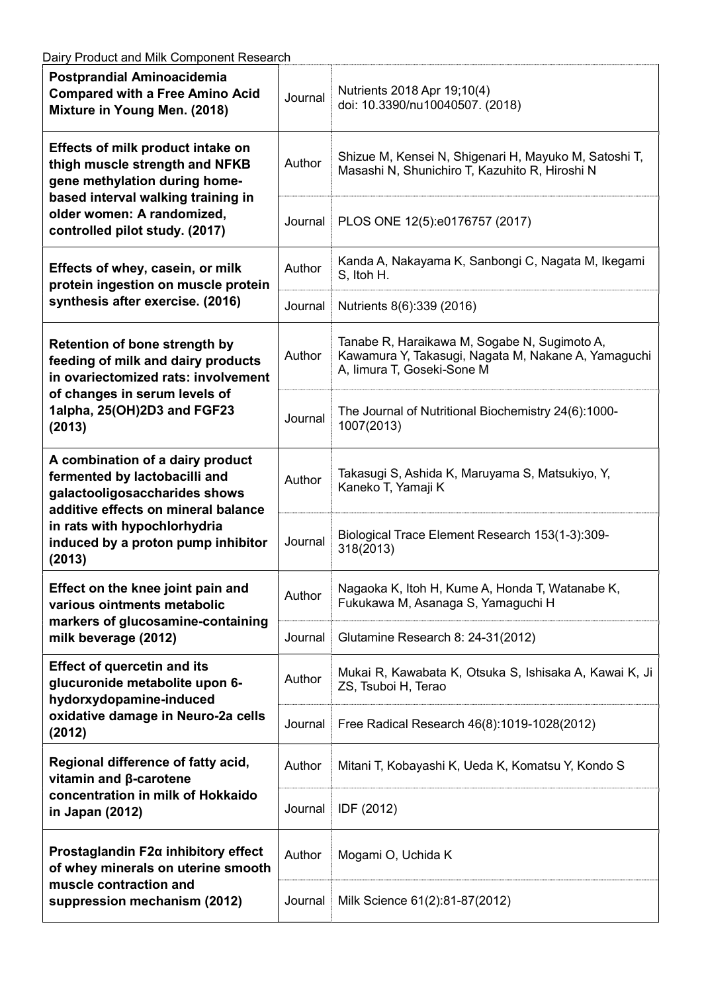| Postprandial Aminoacidemia<br><b>Compared with a Free Amino Acid</b><br>Mixture in Young Men. (2018)                                                                                                                      | Journal | Nutrients 2018 Apr 19;10(4)<br>doi: 10.3390/nu10040507. (2018)                                                                    |
|---------------------------------------------------------------------------------------------------------------------------------------------------------------------------------------------------------------------------|---------|-----------------------------------------------------------------------------------------------------------------------------------|
| Effects of milk product intake on<br>thigh muscle strength and NFKB<br>gene methylation during home-<br>based interval walking training in<br>older women: A randomized,<br>controlled pilot study. (2017)                | Author  | Shizue M, Kensei N, Shigenari H, Mayuko M, Satoshi T,<br>Masashi N, Shunichiro T, Kazuhito R, Hiroshi N                           |
|                                                                                                                                                                                                                           | Journal | PLOS ONE 12(5):e0176757 (2017)                                                                                                    |
| Effects of whey, casein, or milk<br>protein ingestion on muscle protein<br>synthesis after exercise. (2016)                                                                                                               | Author  | Kanda A, Nakayama K, Sanbongi C, Nagata M, Ikegami<br>S, Itoh H.                                                                  |
|                                                                                                                                                                                                                           | Journal | Nutrients 8(6):339 (2016)                                                                                                         |
| <b>Retention of bone strength by</b><br>feeding of milk and dairy products<br>in ovariectomized rats: involvement<br>of changes in serum levels of<br>1alpha, 25(OH)2D3 and FGF23<br>(2013)                               | Author  | Tanabe R, Haraikawa M, Sogabe N, Sugimoto A,<br>Kawamura Y, Takasugi, Nagata M, Nakane A, Yamaguchi<br>A, limura T, Goseki-Sone M |
|                                                                                                                                                                                                                           | Journal | The Journal of Nutritional Biochemistry 24(6):1000-<br>1007(2013)                                                                 |
| A combination of a dairy product<br>fermented by lactobacilli and<br>galactooligosaccharides shows<br>additive effects on mineral balance<br>in rats with hypochlorhydria<br>induced by a proton pump inhibitor<br>(2013) | Author  | Takasugi S, Ashida K, Maruyama S, Matsukiyo, Y,<br>Kaneko T, Yamaji K                                                             |
|                                                                                                                                                                                                                           | Journal | Biological Trace Element Research 153(1-3):309-<br>318(2013)                                                                      |
| Effect on the knee joint pain and<br>various ointments metabolic<br>markers of glucosamine-containing<br>milk beverage (2012)                                                                                             | Author  | Nagaoka K, Itoh H, Kume A, Honda T, Watanabe K,<br>Fukukawa M, Asanaga S, Yamaguchi H                                             |
|                                                                                                                                                                                                                           | Journal | Glutamine Research 8: 24-31(2012)                                                                                                 |
| <b>Effect of quercetin and its</b><br>glucuronide metabolite upon 6-<br>hydorxydopamine-induced<br>oxidative damage in Neuro-2a cells<br>(2012)                                                                           | Author  | Mukai R, Kawabata K, Otsuka S, Ishisaka A, Kawai K, Ji<br>ZS, Tsuboi H, Terao                                                     |
|                                                                                                                                                                                                                           | Journal | Free Radical Research 46(8):1019-1028(2012)                                                                                       |
| Regional difference of fatty acid,<br>vitamin and β-carotene<br>concentration in milk of Hokkaido<br>in Japan (2012)                                                                                                      | Author  | Mitani T, Kobayashi K, Ueda K, Komatsu Y, Kondo S                                                                                 |
|                                                                                                                                                                                                                           | Journal | IDF (2012)                                                                                                                        |
| Prostaglandin F2a inhibitory effect<br>of whey minerals on uterine smooth<br>muscle contraction and<br>suppression mechanism (2012)                                                                                       | Author  | Mogami O, Uchida K                                                                                                                |
|                                                                                                                                                                                                                           | Journal | Milk Science 61(2):81-87(2012)                                                                                                    |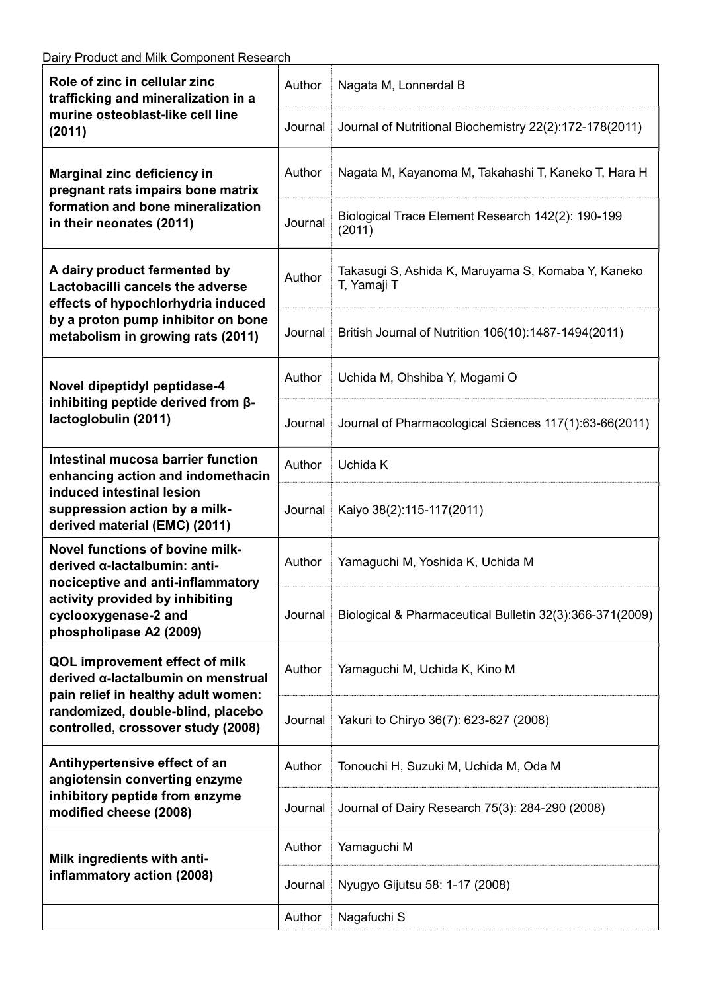| Role of zinc in cellular zinc<br>trafficking and mineralization in a<br>murine osteoblast-like cell line<br>(2011)                                                                         | Author  | Nagata M, Lonnerdal B                                             |
|--------------------------------------------------------------------------------------------------------------------------------------------------------------------------------------------|---------|-------------------------------------------------------------------|
|                                                                                                                                                                                            | Journal | Journal of Nutritional Biochemistry 22(2):172-178(2011)           |
| Marginal zinc deficiency in<br>pregnant rats impairs bone matrix<br>formation and bone mineralization<br>in their neonates (2011)                                                          | Author  | Nagata M, Kayanoma M, Takahashi T, Kaneko T, Hara H               |
|                                                                                                                                                                                            | Journal | Biological Trace Element Research 142(2): 190-199<br>(2011)       |
| A dairy product fermented by<br>Lactobacilli cancels the adverse<br>effects of hypochlorhydria induced<br>by a proton pump inhibitor on bone<br>metabolism in growing rats (2011)          | Author  | Takasugi S, Ashida K, Maruyama S, Komaba Y, Kaneko<br>T, Yamaji T |
|                                                                                                                                                                                            | Journal | British Journal of Nutrition 106(10):1487-1494(2011)              |
| Novel dipeptidyl peptidase-4<br>inhibiting peptide derived from $\beta$ -<br>lactoglobulin (2011)                                                                                          | Author  | Uchida M, Ohshiba Y, Mogami O                                     |
|                                                                                                                                                                                            | Journal | Journal of Pharmacological Sciences 117(1):63-66(2011)            |
| <b>Intestinal mucosa barrier function</b><br>enhancing action and indomethacin<br>induced intestinal lesion<br>suppression action by a milk-<br>derived material (EMC) (2011)              | Author  | Uchida K                                                          |
|                                                                                                                                                                                            | Journal | Kaiyo 38(2):115-117(2011)                                         |
| Novel functions of bovine milk-<br>derived α-lactalbumin: anti-<br>nociceptive and anti-inflammatory<br>activity provided by inhibiting<br>cyclooxygenase-2 and<br>phospholipase A2 (2009) | Author  | Yamaguchi M, Yoshida K, Uchida M                                  |
|                                                                                                                                                                                            | Journal | Biological & Pharmaceutical Bulletin 32(3):366-371(2009)          |
| QOL improvement effect of milk<br>derived α-lactalbumin on menstrual<br>pain relief in healthy adult women:<br>randomized, double-blind, placebo<br>controlled, crossover study (2008)     | Author  | Yamaguchi M, Uchida K, Kino M                                     |
|                                                                                                                                                                                            | Journal | Yakuri to Chiryo 36(7): 623-627 (2008)                            |
| Antihypertensive effect of an<br>angiotensin converting enzyme<br>inhibitory peptide from enzyme<br>modified cheese (2008)                                                                 | Author  | Tonouchi H, Suzuki M, Uchida M, Oda M                             |
|                                                                                                                                                                                            | Journal | Journal of Dairy Research 75(3): 284-290 (2008)                   |
| Milk ingredients with anti-<br>inflammatory action (2008)                                                                                                                                  | Author  | Yamaguchi M                                                       |
|                                                                                                                                                                                            | Journal | Nyugyo Gijutsu 58: 1-17 (2008)                                    |
|                                                                                                                                                                                            | Author  | Nagafuchi S                                                       |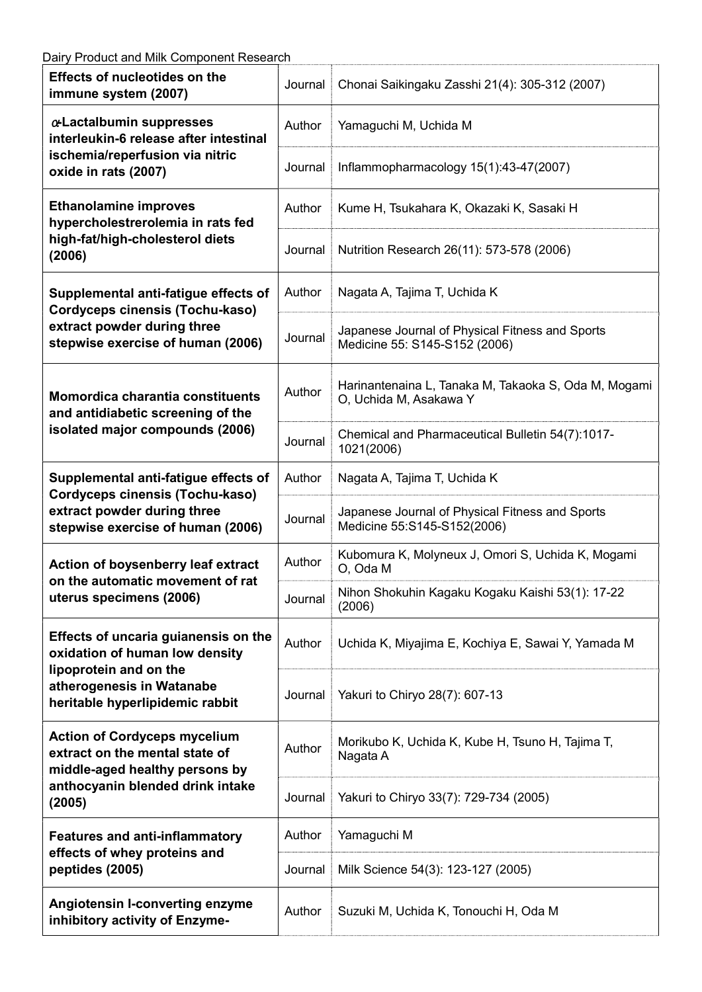| <b>Effects of nucleotides on the</b><br>immune system (2007)                                                                                                     | Journal | Chonai Saikingaku Zasshi 21(4): 305-312 (2007)                                   |
|------------------------------------------------------------------------------------------------------------------------------------------------------------------|---------|----------------------------------------------------------------------------------|
| a-Lactalbumin suppresses<br>interleukin-6 release after intestinal<br>ischemia/reperfusion via nitric<br>oxide in rats (2007)                                    | Author  | Yamaguchi M, Uchida M                                                            |
|                                                                                                                                                                  | Journal | Inflammopharmacology 15(1):43-47(2007)                                           |
| <b>Ethanolamine improves</b><br>hypercholestrerolemia in rats fed<br>high-fat/high-cholesterol diets<br>(2006)                                                   | Author  | Kume H, Tsukahara K, Okazaki K, Sasaki H                                         |
|                                                                                                                                                                  | Journal | Nutrition Research 26(11): 573-578 (2006)                                        |
| Supplemental anti-fatigue effects of<br>Cordyceps cinensis (Tochu-kaso)<br>extract powder during three<br>stepwise exercise of human (2006)                      | Author  | Nagata A, Tajima T, Uchida K                                                     |
|                                                                                                                                                                  | Journal | Japanese Journal of Physical Fitness and Sports<br>Medicine 55: S145-S152 (2006) |
| Momordica charantia constituents<br>and antidiabetic screening of the<br>isolated major compounds (2006)                                                         | Author  | Harinantenaina L, Tanaka M, Takaoka S, Oda M, Mogami<br>O, Uchida M, Asakawa Y   |
|                                                                                                                                                                  | Journal | Chemical and Pharmaceutical Bulletin 54(7):1017-<br>1021(2006)                   |
| Supplemental anti-fatigue effects of<br>Cordyceps cinensis (Tochu-kaso)                                                                                          | Author  | Nagata A, Tajima T, Uchida K                                                     |
| extract powder during three<br>stepwise exercise of human (2006)                                                                                                 | Journal | Japanese Journal of Physical Fitness and Sports<br>Medicine 55:S145-S152(2006)   |
| Action of boysenberry leaf extract<br>on the automatic movement of rat<br>uterus specimens (2006)                                                                | Author  | Kubomura K, Molyneux J, Omori S, Uchida K, Mogami<br>O, Oda M                    |
|                                                                                                                                                                  | Journal | Nihon Shokuhin Kagaku Kogaku Kaishi 53(1): 17-22<br>(2006)                       |
| Effects of uncaria guianensis on the<br>oxidation of human low density<br>lipoprotein and on the<br>atherogenesis in Watanabe<br>heritable hyperlipidemic rabbit | Author  | Uchida K, Miyajima E, Kochiya E, Sawai Y, Yamada M                               |
|                                                                                                                                                                  | Journal | Yakuri to Chiryo 28(7): 607-13                                                   |
| <b>Action of Cordyceps mycelium</b><br>extract on the mental state of<br>middle-aged healthy persons by<br>anthocyanin blended drink intake<br>(2005)            | Author  | Morikubo K, Uchida K, Kube H, Tsuno H, Tajima T,<br>Nagata A                     |
|                                                                                                                                                                  | Journal | Yakuri to Chiryo 33(7): 729-734 (2005)                                           |
| <b>Features and anti-inflammatory</b><br>effects of whey proteins and<br>peptides (2005)                                                                         | Author  | Yamaguchi M                                                                      |
|                                                                                                                                                                  | Journal | Milk Science 54(3): 123-127 (2005)                                               |
| Angiotensin I-converting enzyme<br>inhibitory activity of Enzyme-                                                                                                | Author  | Suzuki M, Uchida K, Tonouchi H, Oda M                                            |